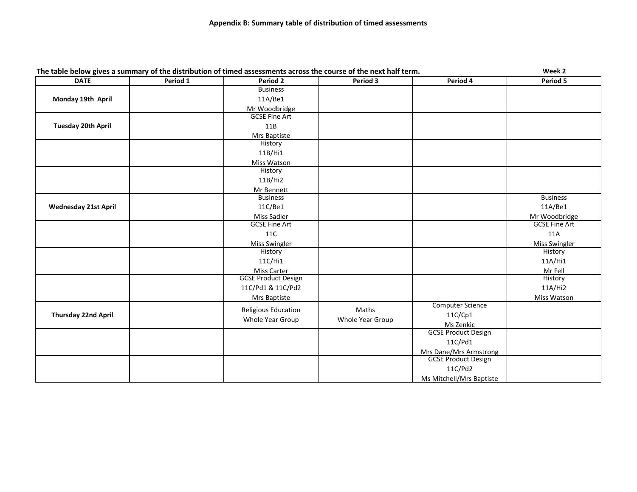|                             |          | The table below gives a summary of the distribution of timed assessments across the course of the next half term. |                  |                               | Week 2               |
|-----------------------------|----------|-------------------------------------------------------------------------------------------------------------------|------------------|-------------------------------|----------------------|
| <b>DATE</b>                 | Period 1 | <b>Period 2</b>                                                                                                   | Period 3         | Period 4                      | Period 5             |
|                             |          | <b>Business</b>                                                                                                   |                  |                               |                      |
| Monday 19th April           |          | 11A/Be1                                                                                                           |                  |                               |                      |
|                             |          | Mr Woodbridge                                                                                                     |                  |                               |                      |
|                             |          | <b>GCSE Fine Art</b>                                                                                              |                  |                               |                      |
| <b>Tuesday 20th April</b>   |          | 11B                                                                                                               |                  |                               |                      |
|                             |          | Mrs Baptiste                                                                                                      |                  |                               |                      |
|                             |          | History                                                                                                           |                  |                               |                      |
|                             |          | 11B/Hi1                                                                                                           |                  |                               |                      |
|                             |          | Miss Watson                                                                                                       |                  |                               |                      |
|                             |          | History                                                                                                           |                  |                               |                      |
|                             |          | 11B/Hi2                                                                                                           |                  |                               |                      |
|                             |          | Mr Bennett                                                                                                        |                  |                               |                      |
|                             |          | <b>Business</b>                                                                                                   |                  |                               | <b>Business</b>      |
| <b>Wednesday 21st April</b> |          | 11C/Be1                                                                                                           |                  |                               | 11A/Be1              |
|                             |          | Miss Sadler                                                                                                       |                  |                               | Mr Woodbridge        |
|                             |          | <b>GCSE Fine Art</b>                                                                                              |                  |                               | <b>GCSE Fine Art</b> |
|                             |          | 11C                                                                                                               |                  |                               | 11A                  |
|                             |          | <b>Miss Swingler</b>                                                                                              |                  |                               | <b>Miss Swingler</b> |
|                             |          | History                                                                                                           |                  |                               | History              |
|                             |          | 11C/Hi1                                                                                                           |                  |                               | 11A/Hi1              |
|                             |          | <b>Miss Carter</b>                                                                                                |                  |                               | Mr Fell              |
|                             |          | <b>GCSE Product Design</b>                                                                                        |                  |                               | History              |
|                             |          | 11C/Pd1 & 11C/Pd2                                                                                                 |                  |                               | 11A/Hi2              |
|                             |          | Mrs Baptiste                                                                                                      |                  |                               | Miss Watson          |
|                             |          |                                                                                                                   |                  | Computer Science              |                      |
| <b>Thursday 22nd April</b>  |          | <b>Religious Education</b>                                                                                        | Maths            | 11C/Cp1                       |                      |
|                             |          | Whole Year Group                                                                                                  | Whole Year Group | Ms Zenkic                     |                      |
|                             |          |                                                                                                                   |                  | <b>GCSE Product Design</b>    |                      |
|                             |          |                                                                                                                   |                  | 11C/Pd1                       |                      |
|                             |          |                                                                                                                   |                  | <b>Mrs Dane/Mrs Armstrong</b> |                      |
|                             |          |                                                                                                                   |                  | <b>GCSE Product Design</b>    |                      |
|                             |          |                                                                                                                   |                  | 11C/Pd2                       |                      |
|                             |          |                                                                                                                   |                  | Ms Mitchell/Mrs Baptiste      |                      |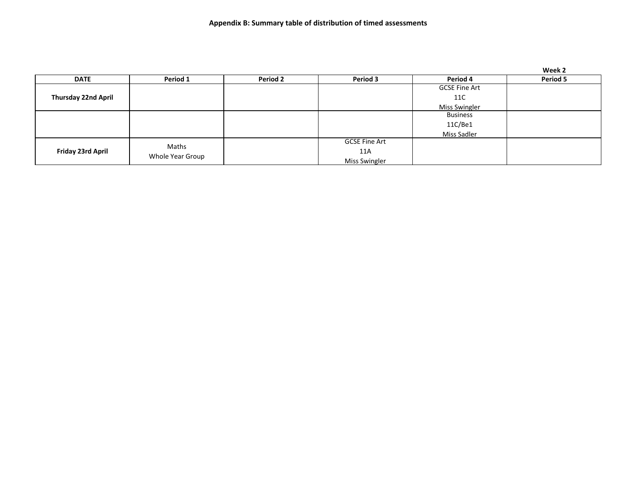|                            |                           |                 |                      |                      | Week 2   |
|----------------------------|---------------------------|-----------------|----------------------|----------------------|----------|
| <b>DATE</b>                | Period 1                  | <b>Period 2</b> | Period 3             | Period 4             | Period 5 |
|                            |                           |                 |                      | <b>GCSE Fine Art</b> |          |
| <b>Thursday 22nd April</b> |                           |                 |                      | 11C                  |          |
|                            |                           |                 |                      | <b>Miss Swingler</b> |          |
|                            |                           |                 |                      | <b>Business</b>      |          |
|                            |                           |                 |                      | 11C/Be1              |          |
|                            |                           |                 |                      | Miss Sadler          |          |
| Friday 23rd April          | Maths<br>Whole Year Group |                 | <b>GCSE Fine Art</b> |                      |          |
|                            |                           |                 | 11A                  |                      |          |
|                            |                           |                 | Miss Swingler        |                      |          |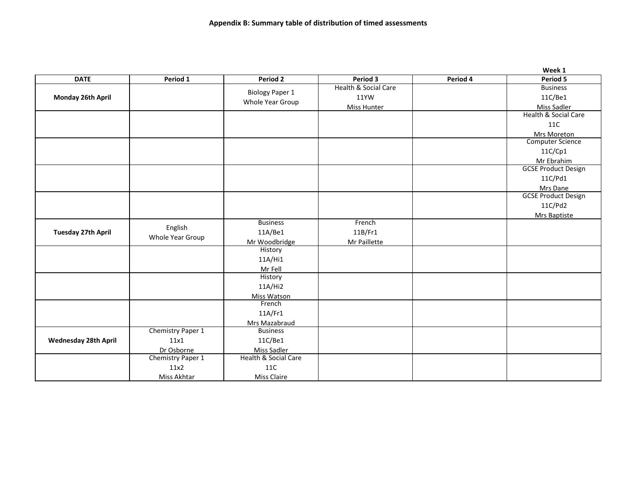|                           |                   |                        |                      |          | Week 1                     |
|---------------------------|-------------------|------------------------|----------------------|----------|----------------------------|
| <b>DATE</b>               | Period 1          | Period 2               | Period 3             | Period 4 | Period 5                   |
|                           |                   |                        | Health & Social Care |          | <b>Business</b>            |
| Monday 26th April         |                   | <b>Biology Paper 1</b> | 11YW                 |          | 11C/Be1                    |
|                           |                   | Whole Year Group       | <b>Miss Hunter</b>   |          | Miss Sadler                |
|                           |                   |                        |                      |          | Health & Social Care       |
|                           |                   |                        |                      |          | 11C                        |
|                           |                   |                        |                      |          | Mrs Moreton                |
|                           |                   |                        |                      |          | <b>Computer Science</b>    |
|                           |                   |                        |                      |          | 11C/Cp1                    |
|                           |                   |                        |                      |          | Mr Ebrahim                 |
|                           |                   |                        |                      |          | <b>GCSE Product Design</b> |
|                           |                   |                        |                      |          | 11C/Pd1                    |
|                           |                   |                        |                      |          | Mrs Dane                   |
|                           |                   |                        |                      |          | <b>GCSE Product Design</b> |
|                           |                   |                        |                      |          | 11C/Pd2                    |
|                           |                   |                        |                      |          | Mrs Baptiste               |
|                           | English           | <b>Business</b>        | French               |          |                            |
| <b>Tuesday 27th April</b> | Whole Year Group  | 11A/Be1                | 11B/Fr1              |          |                            |
|                           |                   | Mr Woodbridge          | Mr Paillette         |          |                            |
|                           |                   | History                |                      |          |                            |
|                           |                   | 11A/Hi1                |                      |          |                            |
|                           |                   | Mr Fell                |                      |          |                            |
|                           |                   | History                |                      |          |                            |
|                           |                   | 11A/Hi2                |                      |          |                            |
|                           |                   | Miss Watson            |                      |          |                            |
|                           |                   | French                 |                      |          |                            |
|                           |                   | 11A/Fr1                |                      |          |                            |
|                           |                   | Mrs Mazabraud          |                      |          |                            |
|                           | Chemistry Paper 1 | <b>Business</b>        |                      |          |                            |
| Wednesday 28th April      | 11x1              | 11C/Be1                |                      |          |                            |
|                           | Dr Osborne        | Miss Sadler            |                      |          |                            |
|                           | Chemistry Paper 1 | Health & Social Care   |                      |          |                            |
|                           | 11x2              | 11C                    |                      |          |                            |
|                           | Miss Akhtar       | <b>Miss Claire</b>     |                      |          |                            |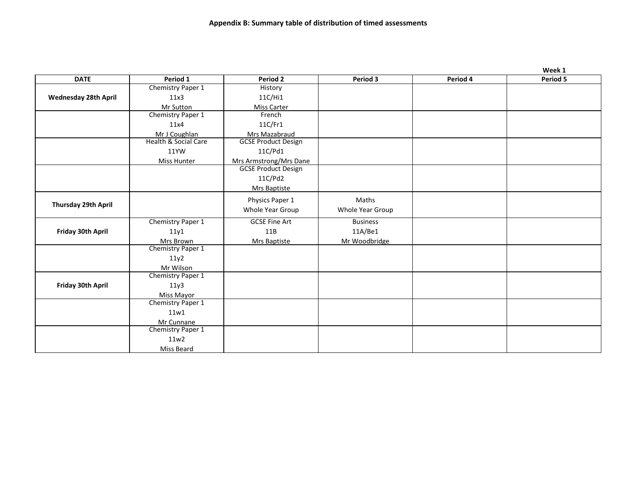|                      |                                 |                            |                  |          | Week 1   |
|----------------------|---------------------------------|----------------------------|------------------|----------|----------|
| <b>DATE</b>          | Period 1                        | Period 2                   | Period 3         | Period 4 | Period 5 |
|                      | Chemistry Paper 1               | History                    |                  |          |          |
| Wednesday 28th April | 11x3                            | 11C/Hi1                    |                  |          |          |
|                      | Mr Sutton                       | <b>Miss Carter</b>         |                  |          |          |
|                      | Chemistry Paper 1               | French                     |                  |          |          |
|                      | 11x4                            | 11C/Fr1                    |                  |          |          |
|                      | Mr J Coughlan                   | Mrs Mazabraud              |                  |          |          |
|                      | <b>Health &amp; Social Care</b> | <b>GCSE Product Design</b> |                  |          |          |
|                      | 11YW                            | 11C/Pd1                    |                  |          |          |
|                      | Miss Hunter                     | Mrs Armstrong/Mrs Dane     |                  |          |          |
|                      |                                 | <b>GCSE Product Design</b> |                  |          |          |
|                      |                                 | 11C/Pd2                    |                  |          |          |
|                      |                                 | Mrs Baptiste               |                  |          |          |
|                      |                                 | Physics Paper 1            | Maths            |          |          |
| Thursday 29th April  |                                 | Whole Year Group           | Whole Year Group |          |          |
|                      |                                 | <b>GCSE Fine Art</b>       | <b>Business</b>  |          |          |
|                      | Chemistry Paper 1               | 11B                        |                  |          |          |
| Friday 30th April    | 11y1                            |                            | 11A/Be1          |          |          |
|                      | Mrs Brown<br>Chemistry Paper 1  | Mrs Baptiste               | Mr Woodbridge    |          |          |
|                      | 11y2                            |                            |                  |          |          |
|                      | Mr Wilson                       |                            |                  |          |          |
|                      | Chemistry Paper 1               |                            |                  |          |          |
| Friday 30th April    | 11y3                            |                            |                  |          |          |
|                      | Miss Mayor                      |                            |                  |          |          |
|                      | Chemistry Paper 1               |                            |                  |          |          |
|                      | 11w1                            |                            |                  |          |          |
|                      | Mr Cunnane                      |                            |                  |          |          |
|                      | Chemistry Paper 1               |                            |                  |          |          |
|                      | 11w2                            |                            |                  |          |          |
|                      | Miss Beard                      |                            |                  |          |          |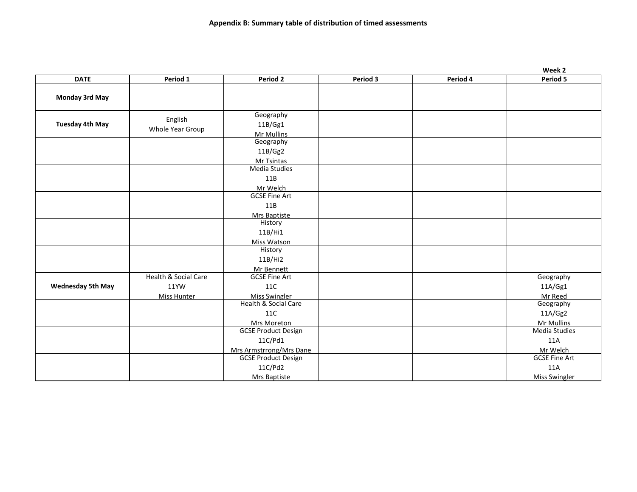|                          |                      |                            |          |          | Week 2               |
|--------------------------|----------------------|----------------------------|----------|----------|----------------------|
| <b>DATE</b>              | Period 1             | Period 2                   | Period 3 | Period 4 | Period 5             |
|                          |                      |                            |          |          |                      |
| <b>Monday 3rd May</b>    |                      |                            |          |          |                      |
|                          |                      |                            |          |          |                      |
|                          | English              | Geography                  |          |          |                      |
| <b>Tuesday 4th May</b>   | Whole Year Group     | 11B/Gg1                    |          |          |                      |
|                          |                      | Mr Mullins                 |          |          |                      |
|                          |                      | Geography                  |          |          |                      |
|                          |                      | 11B/Gg2                    |          |          |                      |
|                          |                      | Mr Tsintas                 |          |          |                      |
|                          |                      | <b>Media Studies</b>       |          |          |                      |
|                          |                      | 11B                        |          |          |                      |
|                          |                      | Mr Welch                   |          |          |                      |
|                          |                      | <b>GCSE Fine Art</b>       |          |          |                      |
|                          |                      | 11B                        |          |          |                      |
|                          |                      | <b>Mrs Baptiste</b>        |          |          |                      |
|                          |                      | History                    |          |          |                      |
|                          |                      | 11B/Hi1                    |          |          |                      |
|                          |                      | Miss Watson                |          |          |                      |
|                          |                      | History                    |          |          |                      |
|                          |                      | 11B/Hi2                    |          |          |                      |
|                          |                      | Mr Bennett                 |          |          |                      |
|                          | Health & Social Care | <b>GCSE Fine Art</b>       |          |          | Geography            |
| <b>Wednesday 5th May</b> | 11YW                 | <b>11C</b>                 |          |          | 11A/Gg1              |
|                          | <b>Miss Hunter</b>   | <b>Miss Swingler</b>       |          |          | Mr Reed              |
|                          |                      | Health & Social Care       |          |          | Geography            |
|                          |                      | <b>11C</b>                 |          |          | 11A/Gg2              |
|                          |                      | Mrs Moreton                |          |          | Mr Mullins           |
|                          |                      | <b>GCSE Product Design</b> |          |          | <b>Media Studies</b> |
|                          |                      | 11C/Pd1                    |          |          | 11A                  |
|                          |                      | Mrs Armstrrong/Mrs Dane    |          |          | Mr Welch             |
|                          |                      | <b>GCSE Product Design</b> |          |          | <b>GCSE Fine Art</b> |
|                          |                      | 11C/Pd2                    |          |          | 11A                  |
|                          |                      | Mrs Baptiste               |          |          | <b>Miss Swingler</b> |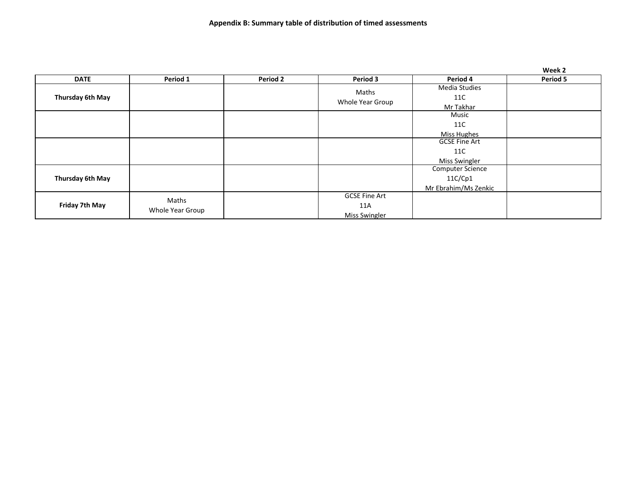|                  |                           |                 |                                              |                                                     | Week 2   |
|------------------|---------------------------|-----------------|----------------------------------------------|-----------------------------------------------------|----------|
| <b>DATE</b>      | Period 1                  | <b>Period 2</b> | Period 3                                     | Period 4                                            | Period 5 |
| Thursday 6th May |                           |                 | Maths<br>Whole Year Group                    | <b>Media Studies</b><br>11C<br>Mr Takhar            |          |
|                  |                           |                 |                                              | Music<br>11C<br>Miss Hughes                         |          |
|                  |                           |                 |                                              | <b>GCSE Fine Art</b><br>11C<br><b>Miss Swingler</b> |          |
| Thursday 6th May |                           |                 |                                              | Computer Science<br>11C/Cp1<br>Mr Ebrahim/Ms Zenkic |          |
| Friday 7th May   | Maths<br>Whole Year Group |                 | <b>GCSE Fine Art</b><br>11A<br>Miss Swingler |                                                     |          |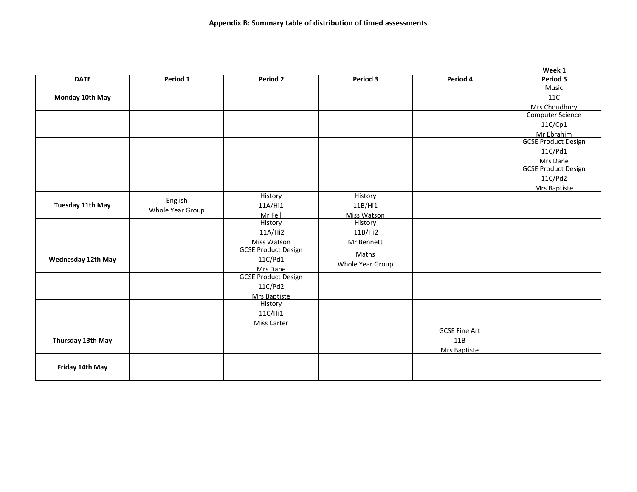|                           |                  |                            |                  |                      | Week 1                     |
|---------------------------|------------------|----------------------------|------------------|----------------------|----------------------------|
| <b>DATE</b>               | Period 1         | Period 2                   | Period 3         | Period 4             | Period 5                   |
|                           |                  |                            |                  |                      | <b>Music</b>               |
| Monday 10th May           |                  |                            |                  |                      | 11C                        |
|                           |                  |                            |                  |                      | Mrs Choudhury              |
|                           |                  |                            |                  |                      | <b>Computer Science</b>    |
|                           |                  |                            |                  |                      | 11C/Cp1                    |
|                           |                  |                            |                  |                      | Mr Ebrahim                 |
|                           |                  |                            |                  |                      | <b>GCSE Product Design</b> |
|                           |                  |                            |                  |                      | 11C/Pd1                    |
|                           |                  |                            |                  |                      | Mrs Dane                   |
|                           |                  |                            |                  |                      | <b>GCSE Product Design</b> |
|                           |                  |                            |                  |                      | 11C/Pd2                    |
|                           |                  |                            |                  |                      | Mrs Baptiste               |
|                           | English          | History                    | History          |                      |                            |
| Tuesday 11th May          | Whole Year Group | 11A/Hi1                    | 11B/Hi1          |                      |                            |
|                           |                  | Mr Fell                    | Miss Watson      |                      |                            |
|                           |                  | History                    | History          |                      |                            |
|                           |                  | 11A/Hi2                    | 11B/Hi2          |                      |                            |
|                           |                  | Miss Watson                | Mr Bennett       |                      |                            |
|                           |                  | <b>GCSE Product Design</b> | Maths            |                      |                            |
| <b>Wednesday 12th May</b> |                  | 11C/Pd1                    | Whole Year Group |                      |                            |
|                           |                  | Mrs Dane                   |                  |                      |                            |
|                           |                  | <b>GCSE Product Design</b> |                  |                      |                            |
|                           |                  | 11C/Pd2                    |                  |                      |                            |
|                           |                  | Mrs Baptiste               |                  |                      |                            |
|                           |                  | History                    |                  |                      |                            |
|                           |                  | 11C/Hi1                    |                  |                      |                            |
|                           |                  | <b>Miss Carter</b>         |                  | <b>GCSE Fine Art</b> |                            |
| Thursday 13th May         |                  |                            |                  | 11B                  |                            |
|                           |                  |                            |                  |                      |                            |
|                           |                  |                            |                  | Mrs Baptiste         |                            |
|                           |                  |                            |                  |                      |                            |
| Friday 14th May           |                  |                            |                  |                      |                            |
|                           |                  |                            |                  |                      |                            |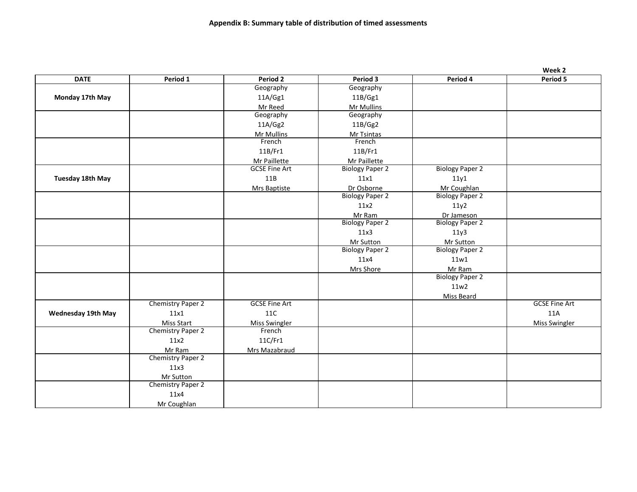|                           |                                |                      |                        |                        | Week 2               |
|---------------------------|--------------------------------|----------------------|------------------------|------------------------|----------------------|
| <b>DATE</b>               | Period 1                       | Period 2             | Period 3               | Period 4               | Period 5             |
|                           |                                | Geography            | Geography              |                        |                      |
| Monday 17th May           |                                | 11A/Gg1              | 11B/Gg1                |                        |                      |
|                           |                                | Mr Reed              | Mr Mullins             |                        |                      |
|                           |                                | Geography            | Geography              |                        |                      |
|                           |                                | 11A/Gg2              | 11B/Gg2                |                        |                      |
|                           |                                | Mr Mullins           | Mr Tsintas             |                        |                      |
|                           |                                | French               | French                 |                        |                      |
|                           |                                | 11B/Fr1              | 11B/Fr1                |                        |                      |
|                           |                                | Mr Paillette         | Mr Paillette           |                        |                      |
|                           |                                | <b>GCSE Fine Art</b> | <b>Biology Paper 2</b> | <b>Biology Paper 2</b> |                      |
| Tuesday 18th May          |                                | 11B                  | 11x1                   | 11y1                   |                      |
|                           |                                | <b>Mrs Baptiste</b>  | Dr Osborne             | Mr Coughlan            |                      |
|                           |                                |                      | <b>Biology Paper 2</b> | <b>Biology Paper 2</b> |                      |
|                           |                                |                      | 11x2                   | 11y2                   |                      |
|                           |                                |                      | Mr Ram                 | Dr Jameson             |                      |
|                           |                                |                      | <b>Biology Paper 2</b> | <b>Biology Paper 2</b> |                      |
|                           |                                |                      | 11x3                   | 11y3                   |                      |
|                           |                                |                      | Mr Sutton              | Mr Sutton              |                      |
|                           |                                |                      | <b>Biology Paper 2</b> | <b>Biology Paper 2</b> |                      |
|                           |                                |                      | 11x4                   | 11w1                   |                      |
|                           |                                |                      | Mrs Shore              | Mr Ram                 |                      |
|                           |                                |                      |                        | <b>Biology Paper 2</b> |                      |
|                           |                                |                      |                        | 11w2                   |                      |
|                           |                                |                      |                        | <b>Miss Beard</b>      |                      |
|                           | Chemistry Paper 2              | <b>GCSE Fine Art</b> |                        |                        | <b>GCSE Fine Art</b> |
| <b>Wednesday 19th May</b> | 11x1                           | 11C                  |                        |                        | 11A                  |
|                           | <b>Miss Start</b>              | <b>Miss Swingler</b> |                        |                        | <b>Miss Swingler</b> |
|                           | Chemistry Paper 2              | French               |                        |                        |                      |
|                           | 11x2                           | 11C/Fr1              |                        |                        |                      |
|                           | Mr Ram                         | Mrs Mazabraud        |                        |                        |                      |
|                           | Chemistry Paper 2              |                      |                        |                        |                      |
|                           | 11x3                           |                      |                        |                        |                      |
|                           |                                |                      |                        |                        |                      |
|                           | Mr Sutton<br>Chemistry Paper 2 |                      |                        |                        |                      |
|                           | 11x4                           |                      |                        |                        |                      |
|                           |                                |                      |                        |                        |                      |
|                           | Mr Coughlan                    |                      |                        |                        |                      |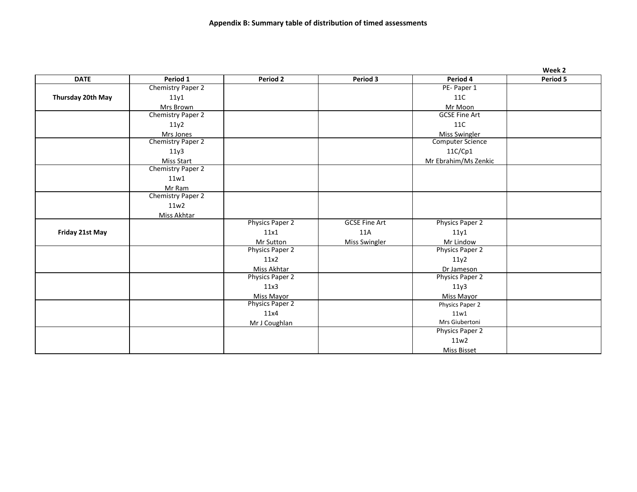|                   |                   |                        |                      |                         | Week 2   |
|-------------------|-------------------|------------------------|----------------------|-------------------------|----------|
| <b>DATE</b>       | Period 1          | Period 2               | Period 3             | Period 4                | Period 5 |
|                   | Chemistry Paper 2 |                        |                      | PE-Paper 1              |          |
| Thursday 20th May | 11y1              |                        |                      | 11C                     |          |
|                   | Mrs Brown         |                        |                      | Mr Moon                 |          |
|                   | Chemistry Paper 2 |                        |                      | <b>GCSE Fine Art</b>    |          |
|                   | 11y2              |                        |                      | 11C                     |          |
|                   | Mrs Jones         |                        |                      | <b>Miss Swingler</b>    |          |
|                   | Chemistry Paper 2 |                        |                      | <b>Computer Science</b> |          |
|                   | 11y3              |                        |                      | 11C/Cp1                 |          |
|                   | <b>Miss Start</b> |                        |                      | Mr Ebrahim/Ms Zenkic    |          |
|                   | Chemistry Paper 2 |                        |                      |                         |          |
|                   | 11w1              |                        |                      |                         |          |
|                   | Mr Ram            |                        |                      |                         |          |
|                   | Chemistry Paper 2 |                        |                      |                         |          |
|                   | 11w2              |                        |                      |                         |          |
|                   | Miss Akhtar       |                        |                      |                         |          |
|                   |                   | <b>Physics Paper 2</b> | <b>GCSE Fine Art</b> | Physics Paper 2         |          |
| Friday 21st May   |                   | 11x1                   | 11A                  | 11y1                    |          |
|                   |                   | Mr Sutton              | <b>Miss Swingler</b> | Mr Lindow               |          |
|                   |                   | <b>Physics Paper 2</b> |                      | Physics Paper 2         |          |
|                   |                   | 11x2                   |                      | 11y2                    |          |
|                   |                   | Miss Akhtar            |                      | Dr Jameson              |          |
|                   |                   | Physics Paper 2        |                      | Physics Paper 2         |          |
|                   |                   | 11x3                   |                      | 11y3                    |          |
|                   |                   | Miss Mayor             |                      | Miss Mayor              |          |
|                   |                   | Physics Paper 2        |                      | Physics Paper 2         |          |
|                   |                   | 11x4                   |                      | 11w1                    |          |
|                   |                   | Mr J Coughlan          |                      | Mrs Giubertoni          |          |
|                   |                   |                        |                      | Physics Paper 2         |          |
|                   |                   |                        |                      | 11w2                    |          |
|                   |                   |                        |                      | Miss Bisset             |          |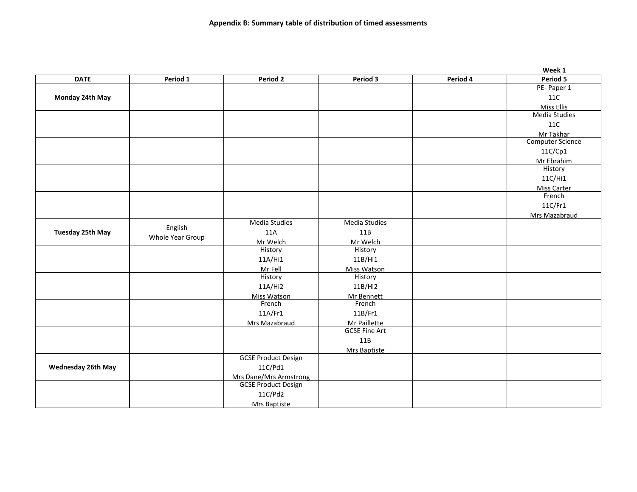|                           |                  |                               |                      |          | Week 1                  |
|---------------------------|------------------|-------------------------------|----------------------|----------|-------------------------|
| <b>DATE</b>               | Period 1         | Period 2                      | Period 3             | Period 4 | Period 5                |
|                           |                  |                               |                      |          | PE-Paper 1              |
| Monday 24th May           |                  |                               |                      |          | <b>11C</b>              |
|                           |                  |                               |                      |          | Miss Ellis              |
|                           |                  |                               |                      |          | <b>Media Studies</b>    |
|                           |                  |                               |                      |          | <b>11C</b>              |
|                           |                  |                               |                      |          | Mr Takhar               |
|                           |                  |                               |                      |          | <b>Computer Science</b> |
|                           |                  |                               |                      |          | 11C/Cp1                 |
|                           |                  |                               |                      |          | Mr Ebrahim              |
|                           |                  |                               |                      |          | History                 |
|                           |                  |                               |                      |          | 11C/Hi1                 |
|                           |                  |                               |                      |          | <b>Miss Carter</b>      |
|                           |                  |                               |                      |          | French                  |
|                           |                  |                               |                      |          | 11C/Fr1                 |
|                           |                  |                               |                      |          | Mrs Mazabraud           |
|                           | English          | <b>Media Studies</b>          | <b>Media Studies</b> |          |                         |
| <b>Tuesday 25th May</b>   |                  | 11A                           | 11B                  |          |                         |
|                           | Whole Year Group | Mr Welch                      | Mr Welch             |          |                         |
|                           |                  | History                       | History              |          |                         |
|                           |                  | 11A/Hi1                       | 11B/Hi1              |          |                         |
|                           |                  | Mr Fell                       | Miss Watson          |          |                         |
|                           |                  | History                       | History              |          |                         |
|                           |                  | 11A/Hi2                       | 11B/Hi2              |          |                         |
|                           |                  | Miss Watson                   | Mr Bennett           |          |                         |
|                           |                  | French                        | French               |          |                         |
|                           |                  | 11A/Fr1                       | 11B/Fr1              |          |                         |
|                           |                  | Mrs Mazabraud                 | Mr Paillette         |          |                         |
|                           |                  |                               | <b>GCSE Fine Art</b> |          |                         |
|                           |                  |                               | 11B                  |          |                         |
|                           |                  |                               | Mrs Baptiste         |          |                         |
|                           |                  | <b>GCSE Product Design</b>    |                      |          |                         |
| <b>Wednesday 26th May</b> |                  | 11C/Pd1                       |                      |          |                         |
|                           |                  | <b>Mrs Dane/Mrs Armstrong</b> |                      |          |                         |
|                           |                  | <b>GCSE Product Design</b>    |                      |          |                         |
|                           |                  | 11C/Pd2                       |                      |          |                         |
|                           |                  | Mrs Baptiste                  |                      |          |                         |